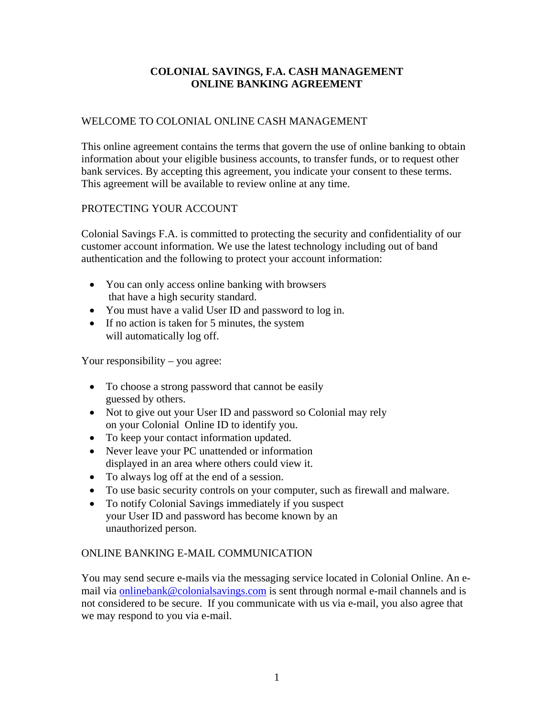## WELCOME TO COLONIAL ONLINE CASH MANAGEMENT

This online agreement contains the terms that govern the use of online banking to obtain information about your eligible business accounts, to transfer funds, or to request other bank services. By accepting this agreement, you indicate your consent to these terms. This agreement will be available to review online at any time.

## PROTECTING YOUR ACCOUNT

Colonial Savings F.A. is committed to protecting the security and confidentiality of our customer account information. We use the latest technology including out of band authentication and the following to protect your account information:

- You can only access online banking with browsers that have a high security standard.
- You must have a valid User ID and password to log in.
- If no action is taken for 5 minutes, the system will automatically log off.

Your responsibility – you agree:

- To choose a strong password that cannot be easily guessed by others.
- Not to give out your User ID and password so Colonial may rely on your Colonial Online ID to identify you.
- To keep your contact information updated.
- Never leave your PC unattended or information displayed in an area where others could view it.
- To always log off at the end of a session.
- To use basic security controls on your computer, such as firewall and malware.
- To notify Colonial Savings immediately if you suspect your User ID and password has become known by an unauthorized person.

# ONLINE BANKING E-MAIL COMMUNICATION

You may send secure e-mails via the messaging service located in Colonial Online. An email via onlinebank@colonialsavings.com is sent through normal e-mail channels and is not considered to be secure. If you communicate with us via e-mail, you also agree that we may respond to you via e-mail.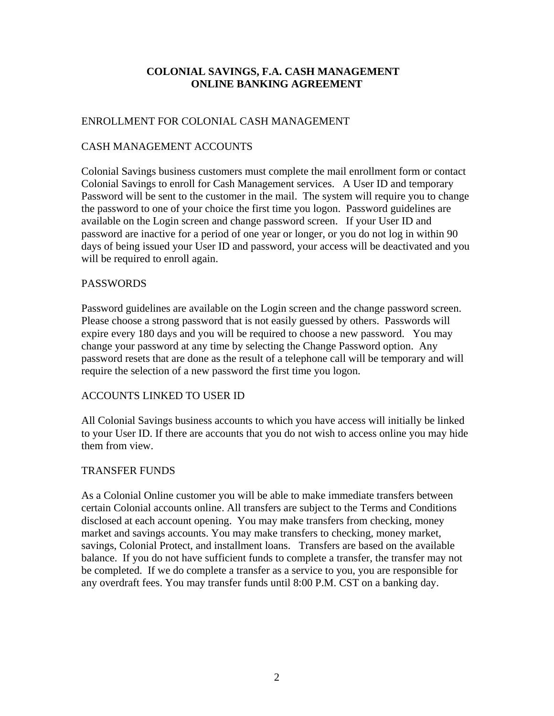## ENROLLMENT FOR COLONIAL CASH MANAGEMENT

## CASH MANAGEMENT ACCOUNTS

Colonial Savings business customers must complete the mail enrollment form or contact Colonial Savings to enroll for Cash Management services. A User ID and temporary Password will be sent to the customer in the mail. The system will require you to change the password to one of your choice the first time you logon. Password guidelines are available on the Login screen and change password screen. If your User ID and password are inactive for a period of one year or longer, or you do not log in within 90 days of being issued your User ID and password, your access will be deactivated and you will be required to enroll again.

### PASSWORDS

Password guidelines are available on the Login screen and the change password screen. Please choose a strong password that is not easily guessed by others. Passwords will expire every 180 days and you will be required to choose a new password. You may change your password at any time by selecting the Change Password option. Any password resets that are done as the result of a telephone call will be temporary and will require the selection of a new password the first time you logon.

#### ACCOUNTS LINKED TO USER ID

All Colonial Savings business accounts to which you have access will initially be linked to your User ID. If there are accounts that you do not wish to access online you may hide them from view.

#### TRANSFER FUNDS

As a Colonial Online customer you will be able to make immediate transfers between certain Colonial accounts online. All transfers are subject to the Terms and Conditions disclosed at each account opening. You may make transfers from checking, money market and savings accounts. You may make transfers to checking, money market, savings, Colonial Protect, and installment loans. Transfers are based on the available balance. If you do not have sufficient funds to complete a transfer, the transfer may not be completed. If we do complete a transfer as a service to you, you are responsible for any overdraft fees. You may transfer funds until 8:00 P.M. CST on a banking day.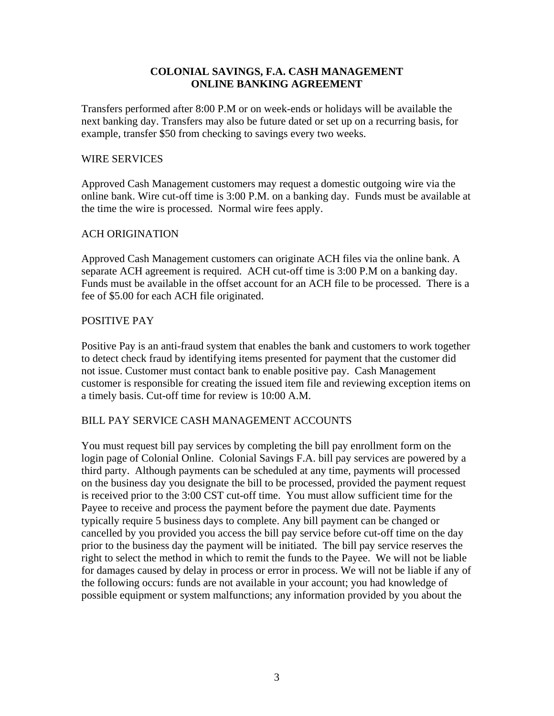Transfers performed after 8:00 P.M or on week-ends or holidays will be available the next banking day. Transfers may also be future dated or set up on a recurring basis, for example, transfer \$50 from checking to savings every two weeks.

#### WIRE SERVICES

Approved Cash Management customers may request a domestic outgoing wire via the online bank. Wire cut-off time is 3:00 P.M. on a banking day. Funds must be available at the time the wire is processed. Normal wire fees apply.

### ACH ORIGINATION

Approved Cash Management customers can originate ACH files via the online bank. A separate ACH agreement is required. ACH cut-off time is 3:00 P.M on a banking day. Funds must be available in the offset account for an ACH file to be processed. There is a fee of \$5.00 for each ACH file originated.

### POSITIVE PAY

Positive Pay is an anti-fraud system that enables the bank and customers to work together to detect check fraud by identifying items presented for payment that the customer did not issue. Customer must contact bank to enable positive pay. Cash Management customer is responsible for creating the issued item file and reviewing exception items on a timely basis. Cut-off time for review is 10:00 A.M.

#### BILL PAY SERVICE CASH MANAGEMENT ACCOUNTS

You must request bill pay services by completing the bill pay enrollment form on the login page of Colonial Online. Colonial Savings F.A. bill pay services are powered by a third party. Although payments can be scheduled at any time, payments will processed on the business day you designate the bill to be processed, provided the payment request is received prior to the 3:00 CST cut-off time. You must allow sufficient time for the Payee to receive and process the payment before the payment due date. Payments typically require 5 business days to complete. Any bill payment can be changed or cancelled by you provided you access the bill pay service before cut-off time on the day prior to the business day the payment will be initiated. The bill pay service reserves the right to select the method in which to remit the funds to the Payee. We will not be liable for damages caused by delay in process or error in process. We will not be liable if any of the following occurs: funds are not available in your account; you had knowledge of possible equipment or system malfunctions; any information provided by you about the